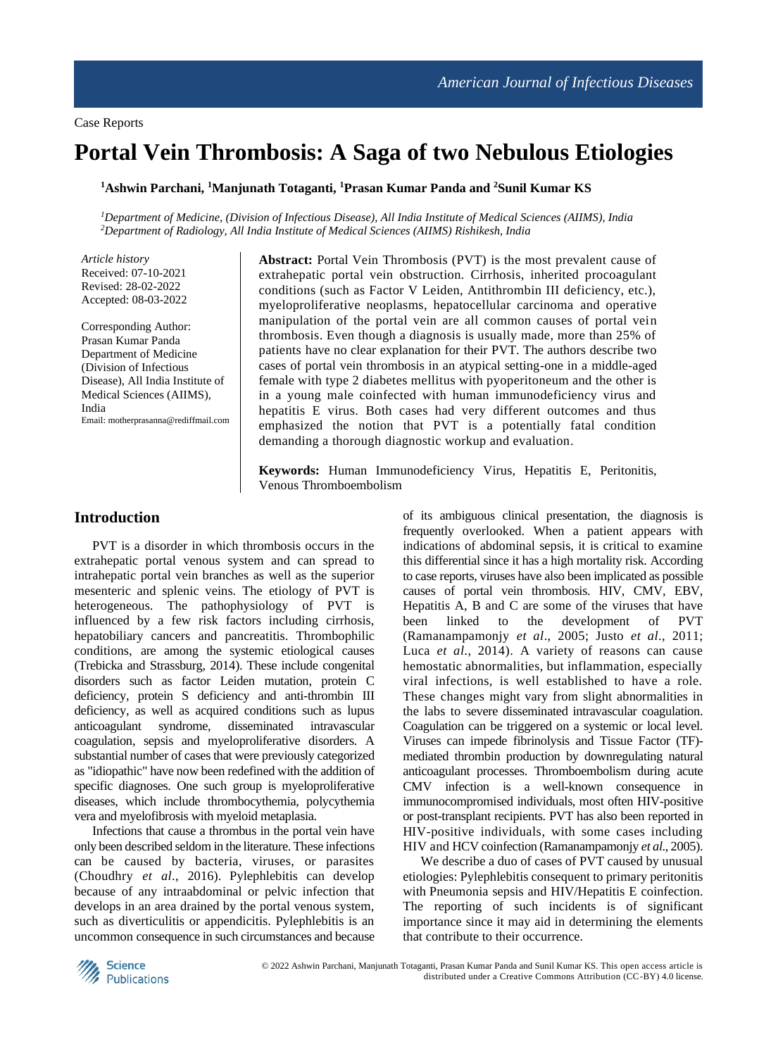# **Portal Vein Thrombosis: A Saga of two Nebulous Etiologies**

**<sup>1</sup>Ashwin Parchani, <sup>1</sup>Manjunath Totaganti, <sup>1</sup>Prasan Kumar Panda and <sup>2</sup>Sunil Kumar KS**

*<sup>1</sup>Department of Medicine, (Division of Infectious Disease), All India Institute of Medical Sciences (AIIMS), India <sup>2</sup>Department of Radiology, All India Institute of Medical Sciences (AIIMS) Rishikesh, India*

*Article history* Received: 07-10-2021 Revised: 28-02-2022 Accepted: 08-03-2022

Corresponding Author: Prasan Kumar Panda Department of Medicine (Division of Infectious Disease), All India Institute of Medical Sciences (AIIMS), India Email: motherprasanna@rediffmail.com

**Abstract:** Portal Vein Thrombosis (PVT) is the most prevalent cause of extrahepatic portal vein obstruction. Cirrhosis, inherited procoagulant conditions (such as Factor V Leiden, Antithrombin III deficiency, etc.), myeloproliferative neoplasms, hepatocellular carcinoma and operative manipulation of the portal vein are all common causes of portal vein thrombosis. Even though a diagnosis is usually made, more than 25% of patients have no clear explanation for their PVT. The authors describe two cases of portal vein thrombosis in an atypical setting-one in a middle-aged female with type 2 diabetes mellitus with pyoperitoneum and the other is in a young male coinfected with human immunodeficiency virus and hepatitis E virus. Both cases had very different outcomes and thus emphasized the notion that PVT is a potentially fatal condition demanding a thorough diagnostic workup and evaluation.

**Keywords:** Human Immunodeficiency Virus, Hepatitis E, Peritonitis, Venous Thromboembolism

## **Introduction**

PVT is a disorder in which thrombosis occurs in the extrahepatic portal venous system and can spread to intrahepatic portal vein branches as well as the superior mesenteric and splenic veins. The etiology of PVT is heterogeneous. The pathophysiology of PVT is influenced by a few risk factors including cirrhosis, hepatobiliary cancers and pancreatitis. Thrombophilic conditions, are among the systemic etiological causes (Trebicka and Strassburg, 2014). These include congenital disorders such as factor Leiden mutation, protein C deficiency, protein S deficiency and anti-thrombin III deficiency, as well as acquired conditions such as lupus anticoagulant syndrome, disseminated intravascular coagulation, sepsis and myeloproliferative disorders. A substantial number of cases that were previously categorized as "idiopathic" have now been redefined with the addition of specific diagnoses. One such group is myeloproliferative diseases, which include thrombocythemia, polycythemia vera and myelofibrosis with myeloid metaplasia.

Infections that cause a thrombus in the portal vein have only been described seldom in the literature. These infections can be caused by bacteria, viruses, or parasites (Choudhry *et al*., 2016). Pylephlebitis can develop because of any intraabdominal or pelvic infection that develops in an area drained by the portal venous system, such as diverticulitis or appendicitis. Pylephlebitis is an uncommon consequence in such circumstances and because

of its ambiguous clinical presentation, the diagnosis is frequently overlooked. When a patient appears with indications of abdominal sepsis, it is critical to examine this differential since it has a high mortality risk. According to case reports, viruses have also been implicated as possible causes of portal vein thrombosis. HIV, CMV, EBV, Hepatitis A, B and C are some of the viruses that have<br>been linked to the development of PVT been linked to the development of PVT (Ramanampamonjy *et al*., 2005; Justo *et al*., 2011; Luca *et al*., 2014). A variety of reasons can cause hemostatic abnormalities, but inflammation, especially viral infections, is well established to have a role. These changes might vary from slight abnormalities in the labs to severe disseminated intravascular coagulation. Coagulation can be triggered on a systemic or local level. Viruses can impede fibrinolysis and Tissue Factor (TF) mediated thrombin production by downregulating natural anticoagulant processes. Thromboembolism during acute CMV infection is a well-known consequence in immunocompromised individuals, most often HIV-positive or post-transplant recipients. PVT has also been reported in HIV-positive individuals, with some cases including HIV and HCV coinfection (Ramanampamonjy *et al*., 2005).

We describe a duo of cases of PVT caused by unusual etiologies: Pylephlebitis consequent to primary peritonitis with Pneumonia sepsis and HIV/Hepatitis E coinfection. The reporting of such incidents is of significant importance since it may aid in determining the elements that contribute to their occurrence.

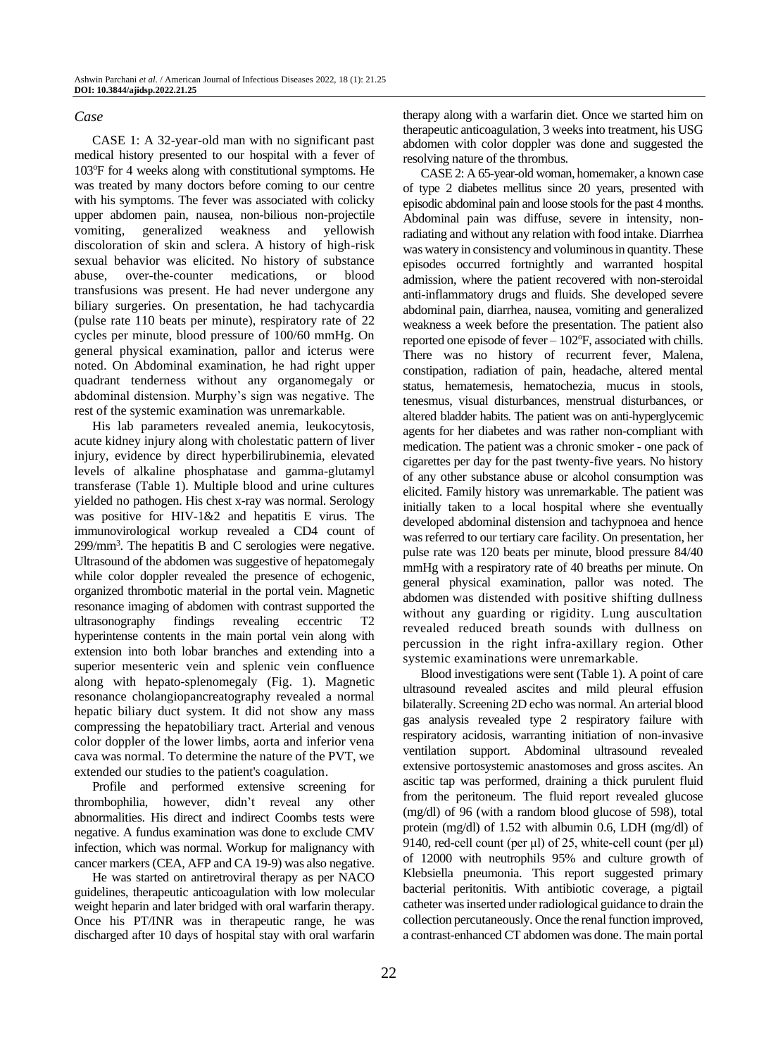### *Case*

CASE 1: A 32-year-old man with no significant past medical history presented to our hospital with a fever of 103<sup>o</sup>F for 4 weeks along with constitutional symptoms. He was treated by many doctors before coming to our centre with his symptoms. The fever was associated with colicky upper abdomen pain, nausea, non-bilious non-projectile vomiting, generalized weakness and yellowish discoloration of skin and sclera. A history of high-risk sexual behavior was elicited. No history of substance abuse, over-the-counter medications, or blood transfusions was present. He had never undergone any biliary surgeries. On presentation, he had tachycardia (pulse rate 110 beats per minute), respiratory rate of 22 cycles per minute, blood pressure of 100/60 mmHg. On general physical examination, pallor and icterus were noted. On Abdominal examination, he had right upper quadrant tenderness without any organomegaly or abdominal distension. Murphy's sign was negative. The rest of the systemic examination was unremarkable.

His lab parameters revealed anemia, leukocytosis, acute kidney injury along with cholestatic pattern of liver injury, evidence by direct hyperbilirubinemia, elevated levels of alkaline phosphatase and gamma-glutamyl transferase (Table 1). Multiple blood and urine cultures yielded no pathogen. His chest x-ray was normal. Serology was positive for HIV-1&2 and hepatitis E virus. The immunovirological workup revealed a CD4 count of 299/mm<sup>3</sup> . The hepatitis B and C serologies were negative. Ultrasound of the abdomen was suggestive of hepatomegaly while color doppler revealed the presence of echogenic, organized thrombotic material in the portal vein. Magnetic resonance imaging of abdomen with contrast supported the ultrasonography findings revealing eccentric T2 hyperintense contents in the main portal vein along with extension into both lobar branches and extending into a superior mesenteric vein and splenic vein confluence along with hepato-splenomegaly (Fig. 1). Magnetic resonance cholangiopancreatography revealed a normal hepatic biliary duct system. It did not show any mass compressing the hepatobiliary tract. Arterial and venous color doppler of the lower limbs, aorta and inferior vena cava was normal. To determine the nature of the PVT, we extended our studies to the patient's coagulation.

Profile and performed extensive screening for thrombophilia, however, didn't reveal any other abnormalities. His direct and indirect Coombs tests were negative. A fundus examination was done to exclude CMV infection, which was normal. Workup for malignancy with cancer markers (CEA, AFP and CA 19-9) was also negative.

He was started on antiretroviral therapy as per NACO guidelines, therapeutic anticoagulation with low molecular weight heparin and later bridged with oral warfarin therapy. Once his PT/INR was in therapeutic range, he was discharged after 10 days of hospital stay with oral warfarin

therapy along with a warfarin diet. Once we started him on therapeutic anticoagulation, 3 weeks into treatment, his USG abdomen with color doppler was done and suggested the resolving nature of the thrombus.

CASE 2: A 65-year-old woman, homemaker, a known case of type 2 diabetes mellitus since 20 years, presented with episodic abdominal pain and loose stools for the past 4 months. Abdominal pain was diffuse, severe in intensity, nonradiating and without any relation with food intake. Diarrhea was watery in consistency and voluminous in quantity. These episodes occurred fortnightly and warranted hospital admission, where the patient recovered with non-steroidal anti-inflammatory drugs and fluids. She developed severe abdominal pain, diarrhea, nausea, vomiting and generalized weakness a week before the presentation. The patient also reported one episode of fever  $-102$ °F, associated with chills. There was no history of recurrent fever, Malena, constipation, radiation of pain, headache, altered mental status, hematemesis, hematochezia, mucus in stools, tenesmus, visual disturbances, menstrual disturbances, or altered bladder habits. The patient was on anti-hyperglycemic agents for her diabetes and was rather non-compliant with medication. The patient was a chronic smoker - one pack of cigarettes per day for the past twenty-five years. No history of any other substance abuse or alcohol consumption was elicited. Family history was unremarkable. The patient was initially taken to a local hospital where she eventually developed abdominal distension and tachypnoea and hence was referred to our tertiary care facility. On presentation, her pulse rate was 120 beats per minute, blood pressure 84/40 mmHg with a respiratory rate of 40 breaths per minute. On general physical examination, pallor was noted. The abdomen was distended with positive shifting dullness without any guarding or rigidity. Lung auscultation revealed reduced breath sounds with dullness on percussion in the right infra-axillary region. Other systemic examinations were unremarkable.

Blood investigations were sent (Table 1). A point of care ultrasound revealed ascites and mild pleural effusion bilaterally. Screening 2D echo was normal. An arterial blood gas analysis revealed type 2 respiratory failure with respiratory acidosis, warranting initiation of non-invasive ventilation support. Abdominal ultrasound revealed extensive portosystemic anastomoses and gross ascites. An ascitic tap was performed, draining a thick purulent fluid from the peritoneum. The fluid report revealed glucose (mg/dl) of 96 (with a random blood glucose of 598), total protein (mg/dl) of 1.52 with albumin 0.6, LDH (mg/dl) of 9140, red-cell count (per μl) of 25, white-cell count (per μl) of 12000 with neutrophils 95% and culture growth of Klebsiella pneumonia. This report suggested primary bacterial peritonitis. With antibiotic coverage, a pigtail catheter was inserted under radiological guidance to drain the collection percutaneously. Once the renal function improved, a contrast-enhanced CT abdomen was done. The main portal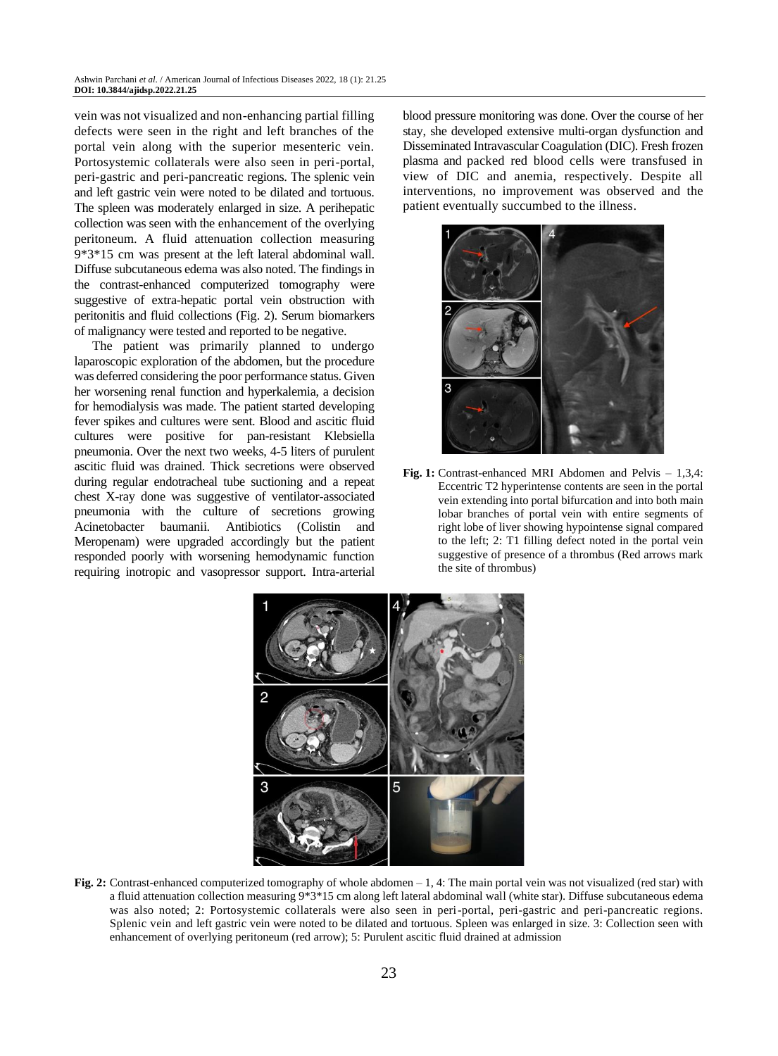vein was not visualized and non-enhancing partial filling defects were seen in the right and left branches of the portal vein along with the superior mesenteric vein. Portosystemic collaterals were also seen in peri-portal, peri-gastric and peri-pancreatic regions. The splenic vein and left gastric vein were noted to be dilated and tortuous. The spleen was moderately enlarged in size. A perihepatic collection was seen with the enhancement of the overlying peritoneum. A fluid attenuation collection measuring 9\*3\*15 cm was present at the left lateral abdominal wall. Diffuse subcutaneous edema was also noted. The findings in the contrast-enhanced computerized tomography were suggestive of extra-hepatic portal vein obstruction with peritonitis and fluid collections (Fig. 2). Serum biomarkers of malignancy were tested and reported to be negative.

The patient was primarily planned to undergo laparoscopic exploration of the abdomen, but the procedure was deferred considering the poor performance status. Given her worsening renal function and hyperkalemia, a decision for hemodialysis was made. The patient started developing fever spikes and cultures were sent. Blood and ascitic fluid cultures were positive for pan-resistant Klebsiella pneumonia. Over the next two weeks, 4-5 liters of purulent ascitic fluid was drained. Thick secretions were observed during regular endotracheal tube suctioning and a repeat chest X-ray done was suggestive of ventilator-associated pneumonia with the culture of secretions growing Acinetobacter baumanii. Antibiotics (Colistin and Meropenam) were upgraded accordingly but the patient responded poorly with worsening hemodynamic function requiring inotropic and vasopressor support. Intra-arterial

blood pressure monitoring was done. Over the course of her stay, she developed extensive multi-organ dysfunction and Disseminated Intravascular Coagulation (DIC). Fresh frozen plasma and packed red blood cells were transfused in view of DIC and anemia, respectively. Despite all interventions, no improvement was observed and the patient eventually succumbed to the illness.



**Fig. 1:** Contrast-enhanced MRI Abdomen and Pelvis – 1,3,4: Eccentric T2 hyperintense contents are seen in the portal vein extending into portal bifurcation and into both main lobar branches of portal vein with entire segments of right lobe of liver showing hypointense signal compared to the left; 2: T1 filling defect noted in the portal vein suggestive of presence of a thrombus (Red arrows mark the site of thrombus)



**Fig. 2:** Contrast-enhanced computerized tomography of whole abdomen – 1, 4: The main portal vein was not visualized (red star) with a fluid attenuation collection measuring  $9*3*15$  cm along left lateral abdominal wall (white star). Diffuse subcutaneous edema was also noted; 2: Portosystemic collaterals were also seen in peri-portal, peri-gastric and peri-pancreatic regions. Splenic vein and left gastric vein were noted to be dilated and tortuous. Spleen was enlarged in size. 3: Collection seen with enhancement of overlying peritoneum (red arrow); 5: Purulent ascitic fluid drained at admission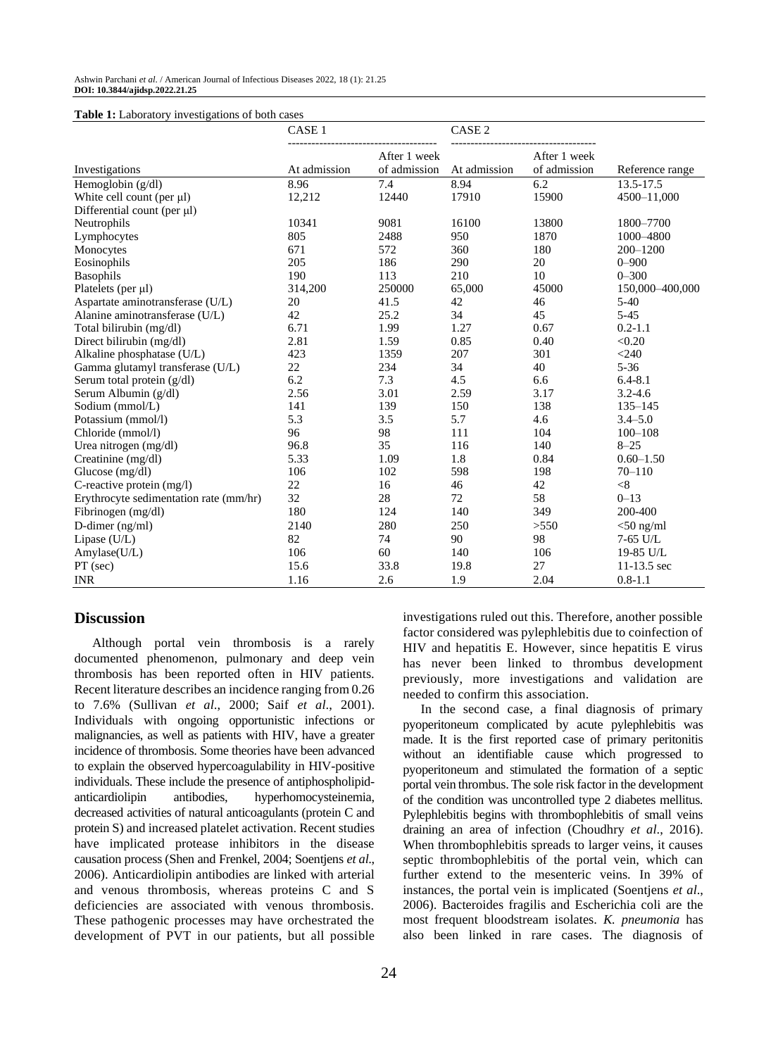| <b>Table 1:</b> Laboratory investigations of both cases |  |
|---------------------------------------------------------|--|
|---------------------------------------------------------|--|

|                                        | CASE <sub>1</sub> |                              | CASE <sub>2</sub> |                              |                 |  |
|----------------------------------------|-------------------|------------------------------|-------------------|------------------------------|-----------------|--|
| Investigations                         | At admission      | After 1 week<br>of admission | At admission      | After 1 week<br>of admission | Reference range |  |
| Hemoglobin $(g/dl)$                    | 8.96              | 7.4                          | 8.94              | 6.2                          | 13.5-17.5       |  |
| White cell count (per µl)              | 12,212            | 12440                        | 17910             | 15900                        | 4500-11,000     |  |
| Differential count (per µl)            |                   |                              |                   |                              |                 |  |
| Neutrophils                            | 10341             | 9081                         | 16100             | 13800                        | 1800-7700       |  |
| Lymphocytes                            | 805               | 2488                         | 950               | 1870                         | 1000-4800       |  |
| Monocytes                              | 671               | 572                          | 360               | 180                          | 200-1200        |  |
| Eosinophils                            | 205               | 186                          | 290               | 20                           | $0 - 900$       |  |
| <b>Basophils</b>                       | 190               | 113                          | 210               | 10                           | $0 - 300$       |  |
| Platelets (per $\mu$ l)                | 314,200           | 250000                       | 65,000            | 45000                        | 150,000-400,000 |  |
| Aspartate aminotransferase (U/L)       | 20                | 41.5                         | 42                | 46                           | $5-40$          |  |
| Alanine aminotransferase (U/L)         | 42                | 25.2                         | 34                | 45                           | $5 - 45$        |  |
| Total bilirubin (mg/dl)                | 6.71              | 1.99                         | 1.27              | 0.67                         | $0.2 - 1.1$     |  |
| Direct bilirubin (mg/dl)               | 2.81              | 1.59                         | 0.85              | 0.40                         | < 0.20          |  |
| Alkaline phosphatase (U/L)             | 423               | 1359                         | 207               | 301                          | $<$ 240         |  |
| Gamma glutamyl transferase (U/L)       | 22                | 234                          | 34                | 40                           | $5 - 36$        |  |
| Serum total protein (g/dl)             | 6.2               | 7.3                          | 4.5               | 6.6                          | $6.4 - 8.1$     |  |
| Serum Albumin (g/dl)                   | 2.56              | 3.01                         | 2.59              | 3.17                         | $3.2 - 4.6$     |  |
| Sodium (mmol/L)                        | 141               | 139                          | 150               | 138                          | $135 - 145$     |  |
| Potassium (mmol/l)                     | 5.3               | 3.5                          | 5.7               | 4.6                          | $3.4 - 5.0$     |  |
| Chloride (mmol/l)                      | 96                | 98                           | 111               | 104                          | $100 - 108$     |  |
| Urea nitrogen $(mg/dl)$                | 96.8              | 35                           | 116               | 140                          | $8 - 25$        |  |
| Creatinine (mg/dl)                     | 5.33              | 1.09                         | 1.8               | 0.84                         | $0.60 - 1.50$   |  |
| Glucose $(mg/dl)$                      | 106               | 102                          | 598               | 198                          | $70 - 110$      |  |
| C-reactive protein $(mg/l)$            | 22                | 16                           | 46                | 42                           | < 8             |  |
| Erythrocyte sedimentation rate (mm/hr) | 32                | 28                           | 72                | 58                           | $0 - 13$        |  |
| Fibrinogen (mg/dl)                     | 180               | 124                          | 140               | 349                          | 200-400         |  |
| D-dimer $(ng/ml)$                      | 2140              | 280                          | 250               | >550                         | $<$ 50 ng/ml    |  |
| Lipase $(U/L)$                         | 82                | 74                           | 90                | 98                           | $7-65$ U/L      |  |
| Amylase(U/L)                           | 106               | 60                           | 140               | 106                          | 19-85 U/L       |  |
| $PT$ (sec)                             | 15.6              | 33.8                         | 19.8              | 27                           | $11-13.5$ sec   |  |
| <b>INR</b>                             | 1.16              | 2.6                          | 1.9               | 2.04                         | $0.8 - 1.1$     |  |

### **Discussion**

Although portal vein thrombosis is a rarely documented phenomenon, pulmonary and deep vein thrombosis has been reported often in HIV patients. Recent literature describes an incidence ranging from 0.26 to 7.6% (Sullivan *et al*., 2000; Saif *et al*., 2001). Individuals with ongoing opportunistic infections or malignancies, as well as patients with HIV, have a greater incidence of thrombosis. Some theories have been advanced to explain the observed hypercoagulability in HIV-positive individuals. These include the presence of antiphospholipidanticardiolipin antibodies, hyperhomocysteinemia, decreased activities of natural anticoagulants (protein C and protein S) and increased platelet activation. Recent studies have implicated protease inhibitors in the disease causation process (Shen and Frenkel, 2004; Soentjens *et al*., 2006). Anticardiolipin antibodies are linked with arterial and venous thrombosis, whereas proteins C and S deficiencies are associated with venous thrombosis. These pathogenic processes may have orchestrated the development of PVT in our patients, but all possible

investigations ruled out this. Therefore, another possible factor considered was pylephlebitis due to coinfection of HIV and hepatitis E. However, since hepatitis E virus has never been linked to thrombus development previously, more investigations and validation are needed to confirm this association.

In the second case, a final diagnosis of primary pyoperitoneum complicated by acute pylephlebitis was made. It is the first reported case of primary peritonitis without an identifiable cause which progressed to pyoperitoneum and stimulated the formation of a septic portal vein thrombus. The sole risk factor in the development of the condition was uncontrolled type 2 diabetes mellitus. Pylephlebitis begins with thrombophlebitis of small veins draining an area of infection (Choudhry *et al*., 2016). When thrombophlebitis spreads to larger veins, it causes septic thrombophlebitis of the portal vein, which can further extend to the mesenteric veins. In 39% of instances, the portal vein is implicated (Soentjens *et al*., 2006). Bacteroides fragilis and Escherichia coli are the most frequent bloodstream isolates. *K. pneumonia* has also been linked in rare cases. The diagnosis of